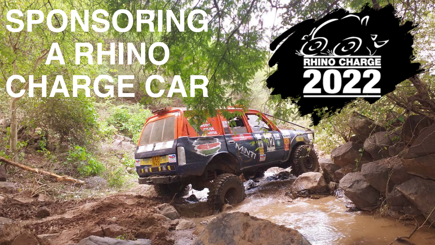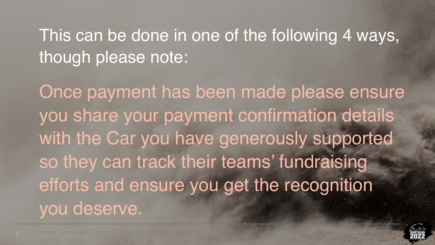#### This can be done in one of the following 4 ways, though please note:

Once payment has been made please ensure you share your payment confirmation details with the Car you have generously supported so they can track their teams' fundraising efforts and ensure you get the recognition you deserve.

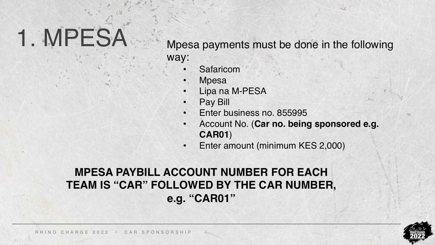# 1. MPESA

Mpesa payments must be done in the following way:

- **Safaricom**
- **Mpesa**
- Lipa na M-PESA
- Pay Bill
- Enter business no. 855995
- Account No. (**Car no. being sponsored e.g. CAR01**)
- Enter amount (minimum KES 2,000)

#### **MPESA PAYBILL ACCOUNT NUMBER FOR EACH TEAM IS "CAR" FOLLOWED BY THE CAR NUMBER, e.g. "CAR01"**

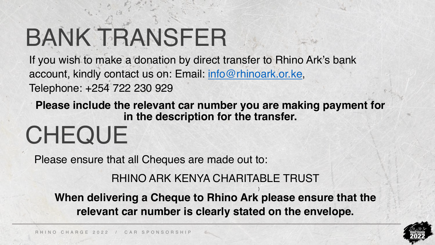# BANK TRANSFER

If you wish to make a donation by direct transfer to Rhino Ark's bank account, kindly contact us on: Email: [info@rhinoark.or.ke](mailto:info@rhinoark.or.ke), Telephone: +254 722 230 929

**Please include the relevant car number you are making payment for in the description for the transfer.**

## **CHEQUE**

Please ensure that all Cheques are made out to:

RHINO ARK KENYA CHARITABLE TRUST

) **When delivering a Cheque to Rhino Ark please ensure that the relevant car number is clearly stated on the envelope.**

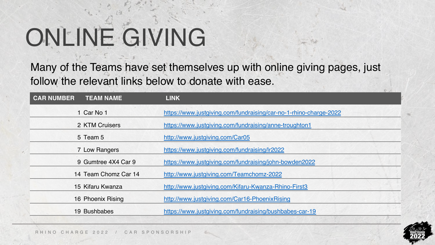# ONLINE GIVING

Many of the Teams have set themselves up with online giving pages, just follow the relevant links below to donate with ease.

| <b>CAR NUMBER</b><br><b>TEAM NAME</b> | <b>LINK</b>                                                       |
|---------------------------------------|-------------------------------------------------------------------|
| 1 Car No 1                            | https://www.justgiving.com/fundraising/car-no-1-rhino-charge-2022 |
| 2 KTM Cruisers                        | https://www.justgiving.com/fundraising/anne-troughton1            |
| 5 Team 5                              | http://www.justgiving.com/Car05                                   |
| 7 Low Rangers                         | https://www.justgiving.com/fundraising/lr2022                     |
| 9 Gumtree 4X4 Car 9                   | https://www.justgiving.com/fundraising/john-bowden2022            |
| 14 Team Chomz Car 14                  | http://www.justgiving.com/Teamchomz-2022                          |
| 15 Kifaru Kwanza                      | http://www.justgiving.com/Kifaru-Kwanza-Rhino-First3              |
| 16 Phoenix Rising                     | http://www.justgiving.com/Car16-PhoenixRising                     |
| 19 Bushbabes                          | https://www.justgiving.com/fundraising/bushbabes-car-19           |

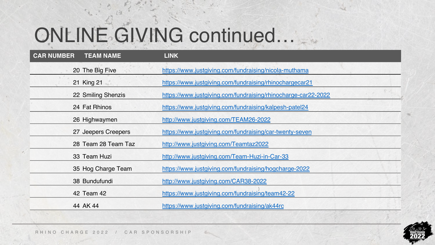### ONLINE GIVING continued…

| <b>CAR NUMBER</b> | <b>TEAM NAME</b>    | <b>LINK</b>                                                   |
|-------------------|---------------------|---------------------------------------------------------------|
|                   | 20 The Big Five     | https://www.justgiving.com/fundraising/nicola-muthama         |
|                   | 21 King 21          | https://www.justgiving.com/fundraising/rhinochargecar21       |
|                   | 22 Smiling Shenzis  | https://www.justgiving.com/fundraising/rhinocharge-car22-2022 |
|                   | 24 Fat Rhinos       | https://www.justgiving.com/fundraising/kalpesh-patel24        |
|                   | 26 Highwaymen       | http://www.justgiving.com/TEAM26-2022                         |
|                   | 27 Jeepers Creepers | https://www.justgiving.com/fundraising/car-twenty-seven       |
|                   | 28 Team 28 Team Taz | http://www.justgiving.com/Teamtaz2022                         |
|                   | 33 Team Huzi        | http://www.justgiving.com/Team-Huzi-in-Car-33                 |
|                   | 35 Hog Charge Team  | https://www.justgiving.com/fundraising/hogcharge-2022         |
|                   | 38 Bundufundi       | http://www.justgiving.com/CAR38-2022                          |
|                   | 42 Team 42          | https://www.justgiving.com/fundraising/team42-22              |
|                   | 44 AK 44            | https://www.justgiving.com/fundraising/ak44rc                 |

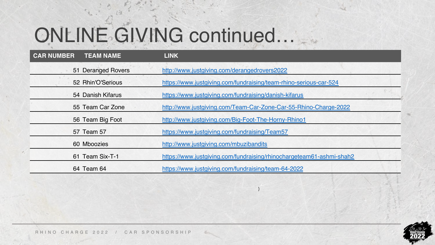### ONLINE GIVING continued…

| <b>CAR NUMBER</b><br><b>TEAM NAME</b> | <b>LINK</b>                                                          |
|---------------------------------------|----------------------------------------------------------------------|
| 51 Deranged Rovers                    | http://www.justgiving.com/derangedrovers2022                         |
| 52 Rhin'O'Serious                     | https://www.justgiving.com/fundraising/team-rhino-serious-car-524    |
| 54 Danish Kifarus                     | https://www.justgiving.com/fundraising/danish-kifarus                |
| 55 Team Car Zone                      | http://www.justgiving.com/Team-Car-Zone-Car-55-Rhino-Charge-2022     |
| 56 Team Big Foot                      | http://www.justgiving.com/Big-Foot-The-Horny-Rhino1                  |
| 57 Team 57                            | https://www.justgiving.com/fundraising/Team57                        |
| 60 Mboozies                           | http://www.justgiving.com/mbuzibandits                               |
| 61 Team Six-T-1                       | https://www.justgiving.com/fundraising/rhinochargeteam61-ashmi-shah2 |
| 64 Team 64                            | https://www.justgiving.com/fundraising/team-64-2022                  |

)